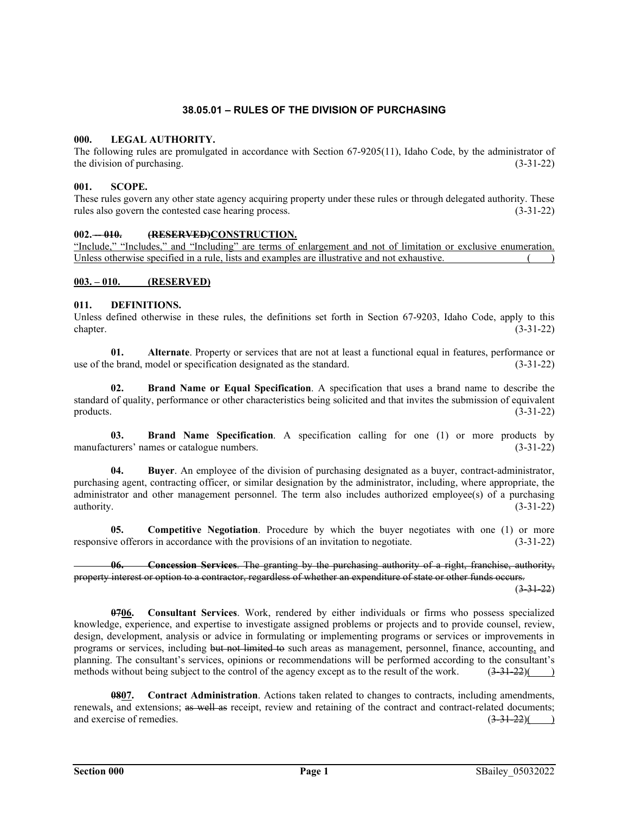# **38.05.01 – RULES OF THE DIVISION OF PURCHASING**

# **000. LEGAL AUTHORITY.**

The following rules are promulgated in accordance with Section 67-9205(11), Idaho Code, by the administrator of the division of purchasing. (3-31-22)

# **001. SCOPE.**

These rules govern any other state agency acquiring property under these rules or through delegated authority. These rules also govern the contested case hearing process. (3-31-22)

## **002. -- 010. (RESERVED)CONSTRUCTION.**

"Include," "Includes," and "Including" are terms of enlargement and not of limitation or exclusive enumeration. Unless otherwise specified in a rule, lists and examples are illustrative and not exhaustive.

### **003. – 010. (RESERVED)**

### **011. DEFINITIONS.**

Unless defined otherwise in these rules, the definitions set forth in Section 67-9203, Idaho Code, apply to this chapter.  $(3-31-22)$ 

**01. Alternate**. Property or services that are not at least a functional equal in features, performance or use of the brand, model or specification designated as the standard. (3-31-22)

**02. Brand Name or Equal Specification**. A specification that uses a brand name to describe the standard of quality, performance or other characteristics being solicited and that invites the submission of equivalent products. (3-31-22) products.  $(3-31-22)$ 

**03. Brand Name Specification**. A specification calling for one (1) or more products by manufacturers' names or catalogue numbers. (3-31-22)

**04. Buyer**. An employee of the division of purchasing designated as a buyer, contract-administrator, purchasing agent, contracting officer, or similar designation by the administrator, including, where appropriate, the administrator and other management personnel. The term also includes authorized employee(s) of a purchasing authority.  $(3-31-22)$ 

**05. Competitive Negotiation**. Procedure by which the buyer negotiates with one (1) or more responsive offerors in accordance with the provisions of an invitation to negotiate. (3-31-22)

**06. Concession Services**. The granting by the purchasing authority of a right, franchise, authority, property interest or option to a contractor, regardless of whether an expenditure of state or other funds occurs.  $(3-31-22)$ 

**0706. Consultant Services**. Work, rendered by either individuals or firms who possess specialized knowledge, experience, and expertise to investigate assigned problems or projects and to provide counsel, review, design, development, analysis or advice in formulating or implementing programs or services or improvements in programs or services, including but not limited to such areas as management, personnel, finance, accounting, and planning. The consultant's services, opinions or recommendations will be performed according to the consultant's methods without being subject to the control of the agency except as to the result of the work.  $(3-31-22)()$ 

**0807. Contract Administration**. Actions taken related to changes to contracts, including amendments, renewals, and extensions; as well as receipt, review and retaining of the contract and contract-related documents; and exercise of remedies.  $(3-31-22)()$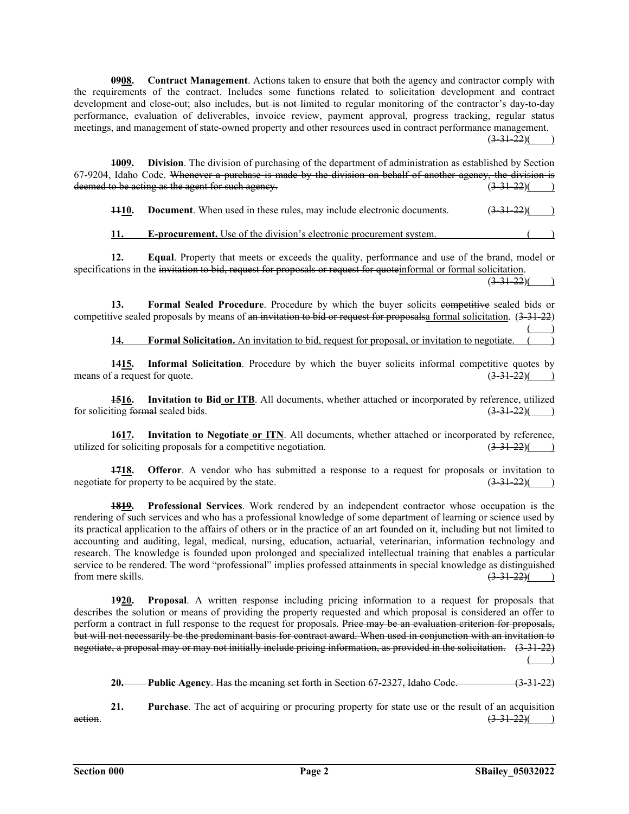**0908. Contract Management**. Actions taken to ensure that both the agency and contractor comply with the requirements of the contract. Includes some functions related to solicitation development and contract development and close-out; also includes, but is not limited to regular monitoring of the contractor's day-to-day performance, evaluation of deliverables, invoice review, payment approval, progress tracking, regular status meetings, and management of state-owned property and other resources used in contract performance management.

 $(3-31-22)()$ 

**1009.** Division. The division of purchasing of the department of administration as established by Section 67-9204, Idaho Code. Whenever a purchase is made by the division on behalf of another agency, the division is deemed to be acting as the agent for such agency.  $(3-31-22)($  )

**1110.** Document. When used in these rules, may include electronic documents. (3-31-22)(

**11.** E-procurement. Use of the division's electronic procurement system.

**12. Equal**. Property that meets or exceeds the quality, performance and use of the brand, model or specifications in the invitation to bid, request for proposals or request for quoteinformal or formal solicitation.

 $(3-31-22)($ 

13. **Formal Sealed Procedure**. Procedure by which the buyer solicits competitive sealed bids or competitive sealed proposals by means of an invitation to bid or request for proposalsa formal solicitation.  $(3-31-22)$  $\overline{\phantom{a}}$ 

**14. Formal Solicitation.** An invitation to bid, request for proposal, or invitation to negotiate.

**1415. Informal Solicitation**. Procedure by which the buyer solicits informal competitive quotes by means of a request for quote.  $(3-31-22)($ 

**1516. Invitation to Bid or ITB**. All documents, whether attached or incorporated by reference, utilized for soliciting formal sealed bids.  $(3-31-22)()$ 

**1617. Invitation to Negotiate or ITN**. All documents, whether attached or incorporated by reference, utilized for soliciting proposals for a competitive negotiation.  $(3-31-22)()$ 

**1718. Offeror**. A vendor who has submitted a response to a request for proposals or invitation to negotiate for property to be acquired by the state.  $(3-31-22)($ 

**1819. Professional Services**. Work rendered by an independent contractor whose occupation is the rendering of such services and who has a professional knowledge of some department of learning or science used by its practical application to the affairs of others or in the practice of an art founded on it, including but not limited to accounting and auditing, legal, medical, nursing, education, actuarial, veterinarian, information technology and research. The knowledge is founded upon prolonged and specialized intellectual training that enables a particular service to be rendered. The word "professional" implies professed attainments in special knowledge as distinguished from mere skills.  $(3,31,22)$  ( from mere skills.

**1920. Proposal**. A written response including pricing information to a request for proposals that describes the solution or means of providing the property requested and which proposal is considered an offer to perform a contract in full response to the request for proposals. Price may be an evaluation criterion for proposals, but will not necessarily be the predominant basis for contract award. When used in conjunction with an invitation to negotiate, a proposal may or may not initially include pricing information, as provided in the solicitation. (3-31-22)  $\overline{)}$ 

**20. Public Agency**. Has the meaning set forth in Section 67-2327, Idaho Code. (3-31-22)

**21. Purchase**. The act of acquiring or procuring property for state use or the result of an acquisition action.  $(3-31-22)$  (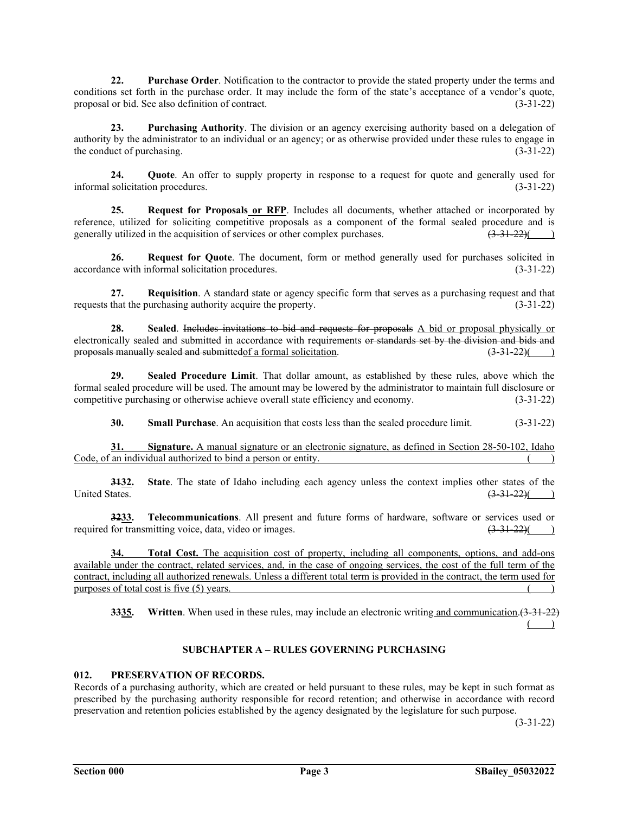**22. Purchase Order**. Notification to the contractor to provide the stated property under the terms and conditions set forth in the purchase order. It may include the form of the state's acceptance of a vendor's quote, proposal or bid. See also definition of contract. (3-31-22)

**23. Purchasing Authority**. The division or an agency exercising authority based on a delegation of authority by the administrator to an individual or an agency; or as otherwise provided under these rules to engage in the conduct of purchasing. (3-31-22)

**24. Quote**. An offer to supply property in response to a request for quote and generally used for solicitation procedures. (3-31-22) informal solicitation procedures.

**25. Request for Proposals or RFP**. Includes all documents, whether attached or incorporated by reference, utilized for soliciting competitive proposals as a component of the formal sealed procedure and is generally utilized in the acquisition of services or other complex purchases.  $(3-31-22)($  )

**26. Request for Quote**. The document, form or method generally used for purchases solicited in accordance with informal solicitation procedures. (3-31-22)

**27. Requisition**. A standard state or agency specific form that serves as a purchasing request and that requests that the purchasing authority acquire the property. (3-31-22)

**28. Sealed**. Includes invitations to bid and requests for proposals A bid or proposal physically or electronically sealed and submitted in accordance with requirements or standards set by the division and bids and proposals manually sealed and submitted of a formal solicitation.  $(3-31-22)($ proposals manually sealed and submitted of a formal solicitation.

**29. Sealed Procedure Limit**. That dollar amount, as established by these rules, above which the formal sealed procedure will be used. The amount may be lowered by the administrator to maintain full disclosure or competitive purchasing or otherwise achieve overall state efficiency and economy. (3-31-22)

**30. Small Purchase**. An acquisition that costs less than the sealed procedure limit. (3-31-22)

**31. Signature.** A manual signature or an electronic signature, as defined in Section 28-50-102, Idaho Code, of an individual authorized to bind a person or entity.

**3132. State**. The state of Idaho including each agency unless the context implies other states of the United States.  $\left(3\frac{31-22}{3}\right)$  (3.31-22)( )

**3233. Telecommunications**. All present and future forms of hardware, software or services used or required for transmitting voice, data, video or images.  $\left(3\frac{31-22}{\pi}\right)$ 

**34. Total Cost.** The acquisition cost of property, including all components, options, and add-ons available under the contract, related services, and, in the case of ongoing services, the cost of the full term of the contract, including all authorized renewals. Unless a different total term is provided in the contract, the term used for purposes of total cost is five  $(5)$  years.

**3335.** Written. When used in these rules, may include an electronic writing and communication. (3-31-22)  $\overline{)}$ 

# **SUBCHAPTER A – RULES GOVERNING PURCHASING**

# **012. PRESERVATION OF RECORDS.**

Records of a purchasing authority, which are created or held pursuant to these rules, may be kept in such format as prescribed by the purchasing authority responsible for record retention; and otherwise in accordance with record preservation and retention policies established by the agency designated by the legislature for such purpose.

 $(3-31-22)$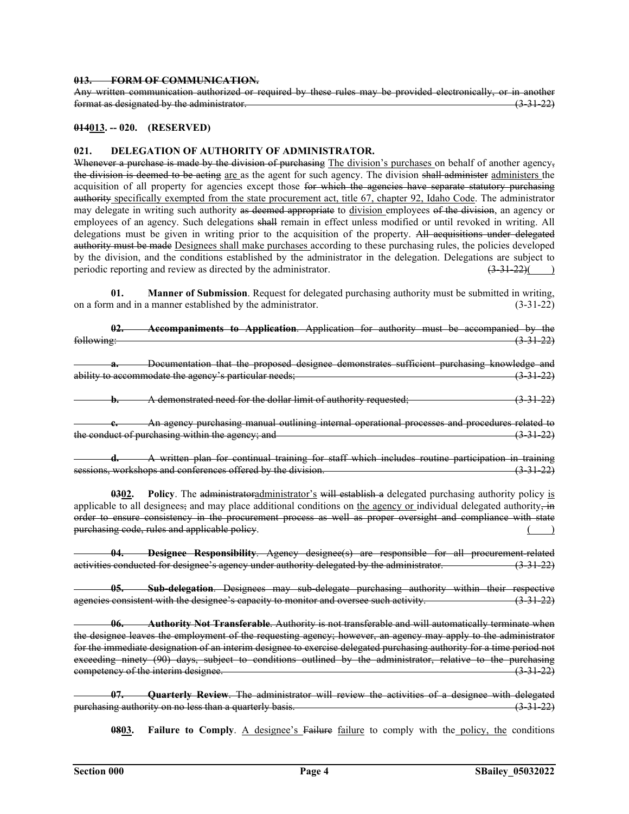### **013. FORM OF COMMUNICATION.**

Any written communication authorized or required by these rules may be provided electronically, or in another format as designated by the administrator. (3-31-22)

### **014013. -- 020. (RESERVED)**

### **021. DELEGATION OF AUTHORITY OF ADMINISTRATOR.**

Whenever a purchase is made by the division of purchasing The division's purchases on behalf of another agency, the division is deemed to be acting are as the agent for such agency. The division shall administer administers the acquisition of all property for agencies except those for which the agencies have separate statutory purchasing authority specifically exempted from the state procurement act, title 67, chapter 92, Idaho Code. The administrator may delegate in writing such authority as deemed appropriate to division employees of the division, an agency or employees of an agency. Such delegations shall remain in effect unless modified or until revoked in writing. All delegations must be given in writing prior to the acquisition of the property. All acquisitions under delegated authority must be made Designees shall make purchases according to these purchasing rules, the policies developed by the division, and the conditions established by the administrator in the delegation. Delegations are subject to periodic reporting and review as directed by the administrator.  $\left(3-31-22\right)\left(4-3\right)$ 

**01. Manner of Submission**. Request for delegated purchasing authority must be submitted in writing, on a form and in a manner established by the administrator. (3-31-22)

|            | 02.   | Accompaniments to Application. Application for authority must be accompanied by the                                                                                                                                                                                                                                                                                                                                                                        |  |
|------------|-------|------------------------------------------------------------------------------------------------------------------------------------------------------------------------------------------------------------------------------------------------------------------------------------------------------------------------------------------------------------------------------------------------------------------------------------------------------------|--|
| following: |       | $(3-31-22)$                                                                                                                                                                                                                                                                                                                                                                                                                                                |  |
|            |       | Documentation that the proposed designee demonstrates sufficient purchasing knowledge and                                                                                                                                                                                                                                                                                                                                                                  |  |
|            |       | ability to accommodate the agency's particular needs;<br>$(3-31-22)$                                                                                                                                                                                                                                                                                                                                                                                       |  |
|            |       | A demonstrated need for the dollar limit of authority requested;<br>$(3-31-22)$                                                                                                                                                                                                                                                                                                                                                                            |  |
|            |       | An agency purchasing manual outlining internal operational processes and procedures related to                                                                                                                                                                                                                                                                                                                                                             |  |
|            |       | the conduct of purchasing within the agency; and<br>$(3-31-22)$                                                                                                                                                                                                                                                                                                                                                                                            |  |
|            |       | A written plan for continual training for staff which includes routine participation in training                                                                                                                                                                                                                                                                                                                                                           |  |
|            |       | sessions, workshops and conferences offered by the division.<br>$(3-31-22)$                                                                                                                                                                                                                                                                                                                                                                                |  |
|            | 0302. | <b>Policy</b> . The administratoradministrator's will establish a delegated purchasing authority policy is<br>applicable to all designees, and may place additional conditions on the agency or individual delegated authority, in<br>order to ensure consistency in the procurement process as well as proper oversight and compliance with state<br>purchasing code, rules and applicable policy.                                                        |  |
|            |       | Designee Responsibility. Agency designee(s) are responsible for all procurement-related<br>activities conducted for designee's agency under authority delegated by the administrator.                                                                                                                                                                                                                                                                      |  |
|            |       | Sub-delegation. Designees may sub-delegate purchasing authority within their respective<br>agencies consistent with the designee's capacity to monitor and oversee such activity.<br>$(3 - 31 - 22)$                                                                                                                                                                                                                                                       |  |
|            | - 06. | -Authority Not Transferable. Authority is not transferable and will automatically terminate when<br>the designee leaves the employment of the requesting agency; however, an agency may apply to the administrator<br>for the immediate designation of an interim designee to exercise delegated purchasing authority for a time period not<br>exceeding ninety (90) days, subject to conditions outlined by the administrator, relative to the purchasing |  |

**07. Quarterly Review**. The administrator will review the activities of a designee with delegated purchasing authority on no less than a quarterly basis. (3-31-22)

competency of the interim designee. (3-31-22)

**0803.** Failure to Comply. A designee's Failure failure to comply with the policy, the conditions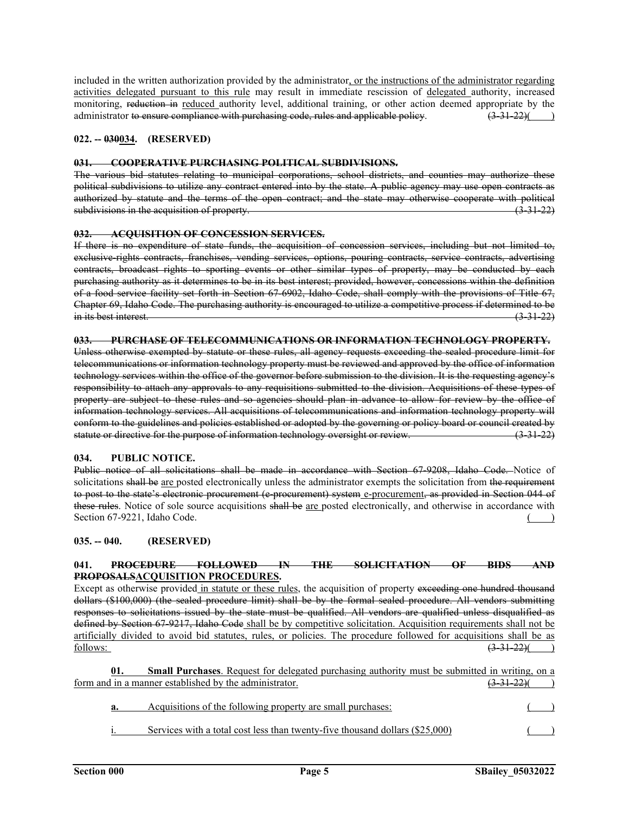included in the written authorization provided by the administrator, or the instructions of the administrator regarding activities delegated pursuant to this rule may result in immediate rescission of delegated authority, increased monitoring, reduction in reduced authority level, additional training, or other action deemed appropriate by the administrator to ensure compliance with purchasing code, rules and applicable policy.  $(3-31-22)()$ 

# **022. -- 030034. (RESERVED)**

#### **031. COOPERATIVE PURCHASING POLITICAL SUBDIVISIONS.**

The various bid statutes relating to municipal corporations, school districts, and counties may authorize these political subdivisions to utilize any contract entered into by the state. A public agency may use open contracts as authorized by statute and the terms of the open contract; and the state may otherwise cooperate with political subdivisions in the acquisition of property.

# **032. ACQUISITION OF CONCESSION SERVICES.**

If there is no expenditure of state funds, the acquisition of concession services, including but not limited to, exclusive rights contracts, franchises, vending services, options, pouring contracts, service contracts, advertising contracts, broadcast rights to sporting events or other similar types of property, may be conducted by each purchasing authority as it determines to be in its best interest; provided, however, concessions within the definition of a food service facility set forth in Section 67-6902, Idaho Code, shall comply with the provisions of Title 67, Chapter 69, Idaho Code. The purchasing authority is encouraged to utilize a competitive process if determined to be in its best interest. (3-31-22)

#### **033. PURCHASE OF TELECOMMUNICATIONS OR INFORMATION TECHNOLOGY PROPERTY.**

Unless otherwise exempted by statute or these rules, all agency requests exceeding the sealed procedure limit for telecommunications or information technology property must be reviewed and approved by the office of information technology services within the office of the governor before submission to the division. It is the requesting agency's responsibility to attach any approvals to any requisitions submitted to the division. Acquisitions of these types of property are subject to these rules and so agencies should plan in advance to allow for review by the office of information technology services. All acquisitions of telecommunications and information technology property will conform to the guidelines and policies established or adopted by the governing or policy board or council created by<br>statute or directive for the purpose of information technology oversight or review. statute or directive for the purpose of information technology oversight or review.

#### **034. PUBLIC NOTICE.**

Public notice of all solicitations shall be made in accordance with Section 67-9208, Idaho Code. Notice of solicitations shall be are posted electronically unless the administrator exempts the solicitation from the requirement to post to the state's electronic procurement (e procurement) system c-procurement, as provided in Section 044 of these rules. Notice of sole source acquisitions shall be are posted electronically, and otherwise in accordance with Section 67-9221, Idaho Code. ( )

#### **035. -- 040. (RESERVED)**

# **041. PROCEDURE FOLLOWED IN THE SOLICITATION OF BIDS AND PROPOSALSACQUISITION PROCEDURES.**

Except as otherwise provided in statute or these rules, the acquisition of property exceeding one hundred thousand dollars (\$100,000) (the sealed procedure limit) shall be by the formal sealed procedure. All vendors submitting responses to solicitations issued by the state must be qualified. All vendors are qualified unless disqualified as defined by Section 67-9217, Idaho Code shall be by competitive solicitation. Acquisition requirements shall not be artificially divided to avoid bid statutes, rules, or policies. The procedure followed for acquisitions shall be as  $f_{\text{5}}(3-31-22)($  )

**01. Small Purchases**. Request for delegated purchasing authority must be submitted in writing, on a form and in a manner established by the administrator.  $(3-31-22)($ 

| Acquisitions of the following property are small purchases:                  |  |
|------------------------------------------------------------------------------|--|
| Services with a total cost less than twenty-five thousand dollars (\$25,000) |  |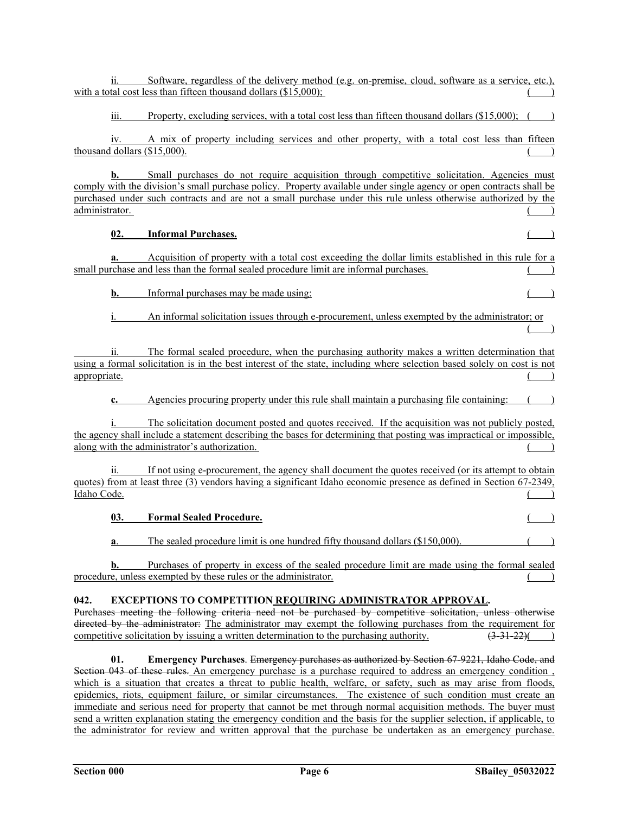ii. Software, regardless of the delivery method (e.g. on-premise, cloud, software as a service, etc.), with a total cost less than fifteen thousand dollars  $(\$15,000)$ ; iii. Property, excluding services, with a total cost less than fifteen thousand dollars (\$15,000); ( ) iv. A mix of property including services and other property, with a total cost less than fifteen thousand dollars  $($15,000)$ . **b.** Small purchases do not require acquisition through competitive solicitation. Agencies must comply with the division's small purchase policy. Property available under single agency or open contracts shall be purchased under such contracts and are not a small purchase under this rule unless otherwise authorized by the administrator. (a) **02. Informal Purchases.** ( )  **a.** Acquisition of property with a total cost exceeding the dollar limits established in this rule for a small purchase and less than the formal sealed procedure limit are informal purchases. **b.** Informal purchases may be made using: An informal solicitation issues through e-procurement, unless exempted by the administrator; or  $\overline{)}$ The formal sealed procedure, when the purchasing authority makes a written determination that using a formal solicitation is in the best interest of the state, including where selection based solely on cost is not appropriate. ( ) **c.** Agencies procuring property under this rule shall maintain a purchasing file containing: The solicitation document posted and quotes received. If the acquisition was not publicly posted, the agency shall include a statement describing the bases for determining that posting was impractical or impossible, along with the administrator's authorization. If not using e-procurement, the agency shall document the quotes received (or its attempt to obtain quotes) from at least three (3) vendors having a significant Idaho economic presence as defined in Section 67-2349, Idaho Code. **03. Formal Sealed Procedure. a**. The sealed procedure limit is one hundred fifty thousand dollars (\$150,000). **b.** Purchases of property in excess of the sealed procedure limit are made using the formal sealed procedure, unless exempted by these rules or the administrator. **042. EXCEPTIONS TO COMPETITION REQUIRING ADMINISTRATOR APPROVAL.**  Purchases meeting the following criteria need not be purchased by competitive solicitation, unless otherwise directed by the administrator: The administrator may exempt the following purchases from the requirement for competitive solicitation by issuing a written determination to the purchasing authority.  $(3-31-22)()$ **01. Emergency Purchases**. Emergency purchases as authorized by Section 67-9221, Idaho Code, and

Section 043 of these rules. An emergency purchase is a purchase required to address an emergency condition, which is a situation that creates a threat to public health, welfare, or safety, such as may arise from floods, epidemics, riots, equipment failure, or similar circumstances. The existence of such condition must create an immediate and serious need for property that cannot be met through normal acquisition methods. The buyer must send a written explanation stating the emergency condition and the basis for the supplier selection, if applicable, to the administrator for review and written approval that the purchase be undertaken as an emergency purchase.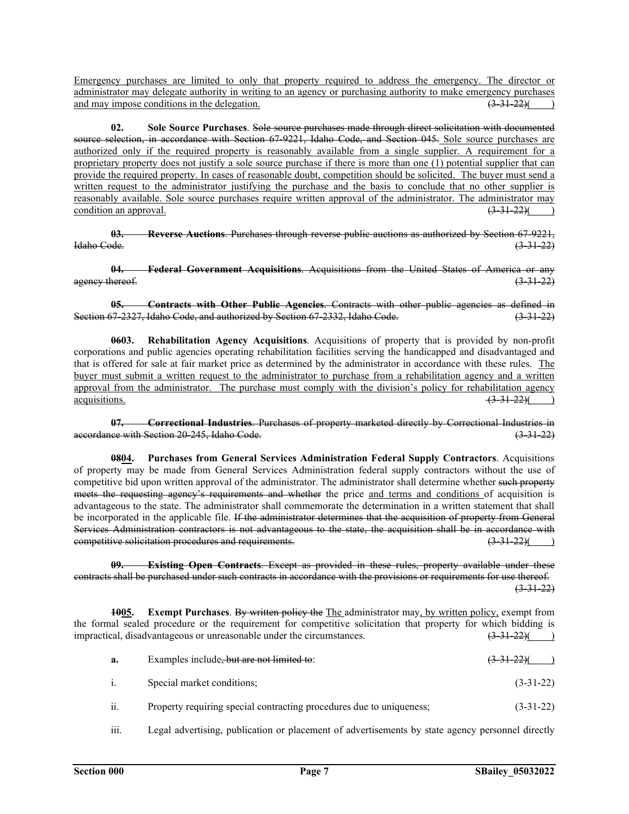Emergency purchases are limited to only that property required to address the emergency. The director or administrator may delegate authority in writing to an agency or purchasing authority to make emergency purchases and may impose conditions in the delegation.  $(3-31-22)($  )

**02. Sole Source Purchases**. Sole source purchases made through direct solicitation with documented source selection, in accordance with Section 67-9221, Idaho Code, and Section 045. Sole source purchases are authorized only if the required property is reasonably available from a single supplier. A requirement for a proprietary property does not justify a sole source purchase if there is more than one (1) potential supplier that can provide the required property. In cases of reasonable doubt, competition should be solicited. The buyer must send a written request to the administrator justifying the purchase and the basis to conclude that no other supplier is reasonably available. Sole source purchases require written approval of the administrator. The administrator may condition an approval.  $(3-31-22)$ 

**03. Reverse Auctions**. Purchases through reverse public auctions as authorized by Section 67-9221, Idaho Code. (3-31-22)

**04. Federal Government Acquisitions**. Acquisitions from the United States of America or any  $a$ gency thereof.  $(3-31-22)$ 

**05. Contracts with Other Public Agencies**. Contracts with other public agencies as defined in Section 67-2327, Idaho Code, and authorized by Section 67-2332, Idaho Code. (3-31-22)

**0603. Rehabilitation Agency Acquisitions**. Acquisitions of property that is provided by non-profit corporations and public agencies operating rehabilitation facilities serving the handicapped and disadvantaged and that is offered for sale at fair market price as determined by the administrator in accordance with these rules. The buyer must submit a written request to the administrator to purchase from a rehabilitation agency and a written approval from the administrator. The purchase must comply with the division's policy for rehabilitation agency  $\frac{1}{3}$  acquisitions.

**07. Correctional Industries**. Purchases of property marketed directly by Correctional Industries in accordance with Section 20-245, Idaho Code.

**0804. Purchases from General Services Administration Federal Supply Contractors**. Acquisitions of property may be made from General Services Administration federal supply contractors without the use of competitive bid upon written approval of the administrator. The administrator shall determine whether such property meets the requesting agency's requirements and whether the price and terms and conditions of acquisition is advantageous to the state. The administrator shall commemorate the determination in a written statement that shall be incorporated in the applicable file. If the administrator determines that the acquisition of property from General Services Administration contractors is not advantageous to the state, the acquisition shall be in accordance with competitive solicitation procedures and requirements. (3-31-22) (3-31-22) (3-31-22) (3-31-22) (3-31-22) (3-31-22)

**Existing Open Contracts**. Except as provided in these rules, property available under these contracts shall be purchased under such contracts in accordance with the provisions or requirements for use thereof.  $(3-31-22)$ 

**1005. Exempt Purchases**. By written policy the The administrator may, by written policy, exempt from the formal sealed procedure or the requirement for competitive solicitation that property for which bidding is impractical, disadvantageous or unreasonable under the circumstances.  $(3-31-22)($  )

| а.             | Examples include, but are not limited to:                            | $(3-31-22)$ |
|----------------|----------------------------------------------------------------------|-------------|
| $\mathbf{i}$ . | Special market conditions;                                           | $(3-31-22)$ |
| ii.            | Property requiring special contracting procedures due to uniqueness; | $(3-31-22)$ |

iii. Legal advertising, publication or placement of advertisements by state agency personnel directly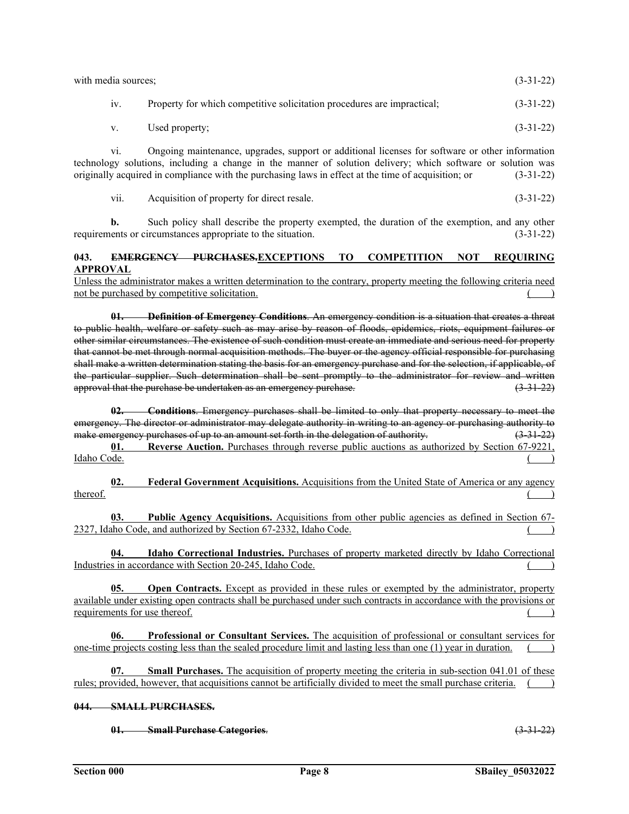| with media sources; |                                                                         | $(3-31-22)$ |
|---------------------|-------------------------------------------------------------------------|-------------|
| 1V.                 | Property for which competitive solicitation procedures are impractical; | $(3-31-22)$ |
| V.                  | Used property;                                                          | $(3-31-22)$ |

vi. Ongoing maintenance, upgrades, support or additional licenses for software or other information technology solutions, including a change in the manner of solution delivery; which software or solution was originally acquired in compliance with the purchasing laws in effect at the time of acquisition; or (3-31-22)

vii. Acquisition of property for direct resale. (3-31-22)

**b.** Such policy shall describe the property exempted, the duration of the exemption, and any other requirements or circumstances appropriate to the situation. (3-31-22)

# **043. EMERGENCY PURCHASES.EXCEPTIONS TO COMPETITION NOT REQUIRING APPROVAL**

Unless the administrator makes a written determination to the contrary, property meeting the following criteria need not be purchased by competitive solicitation.

**01. Definition of Emergency Conditions**. An emergency condition is a situation that creates a threat to public health, welfare or safety such as may arise by reason of floods, epidemics, riots, equipment failures or other similar circumstances. The existence of such condition must create an immediate and serious need for property that cannot be met through normal acquisition methods. The buyer or the agency official responsible for purchasing shall make a written determination stating the basis for an emergency purchase and for the selection, if applicable, of the particular supplier. Such determination shall be sent promptly to the administrator for review and written approval that the purchase be undertaken as an emergency purchase.  $(3-31-22)$ 

**02. Conditions**. Emergency purchases shall be limited to only that property necessary to meet the emergency. The director or administrator may delegate authority in writing to an agency or purchasing authority to<br>
make emergency purchases of up to an amount set forth in the delegation of authority.<br>
(3.31.22) make emergency purchases of up to an amount set forth in the delegation of authority.

**01. Reverse Auction.** Purchases through reverse public auctions as authorized by Section 67-9221, Idaho Code. Idaho Code. ( )

**02. Federal Government Acquisitions.** Acquisitions from the United State of America or any agency  $t$  thereof.  $($ 

**03. Public Agency Acquisitions.** Acquisitions from other public agencies as defined in Section 67- 2327, Idaho Code, and authorized by Section 67-2332, Idaho Code.

**Idaho Correctional Industries.** Purchases of property marketed directly by Idaho Correctional Industries in accordance with Section 20-245, Idaho Code.

**05. Open Contracts.** Except as provided in these rules or exempted by the administrator, property available under existing open contracts shall be purchased under such contracts in accordance with the provisions or requirements for use thereof.

**06. Professional or Consultant Services.** The acquisition of professional or consultant services for one-time projects costing less than the sealed procedure limit and lasting less than one  $(1)$  year in duration.

**07. Small Purchases.** The acquisition of property meeting the criteria in sub-section 041.01 of these rules; provided, however, that acquisitions cannot be artificially divided to meet the small purchase criteria.

# **044. SMALL PURCHASES.**

**01. Small Purchase Categories**. (3-31-22)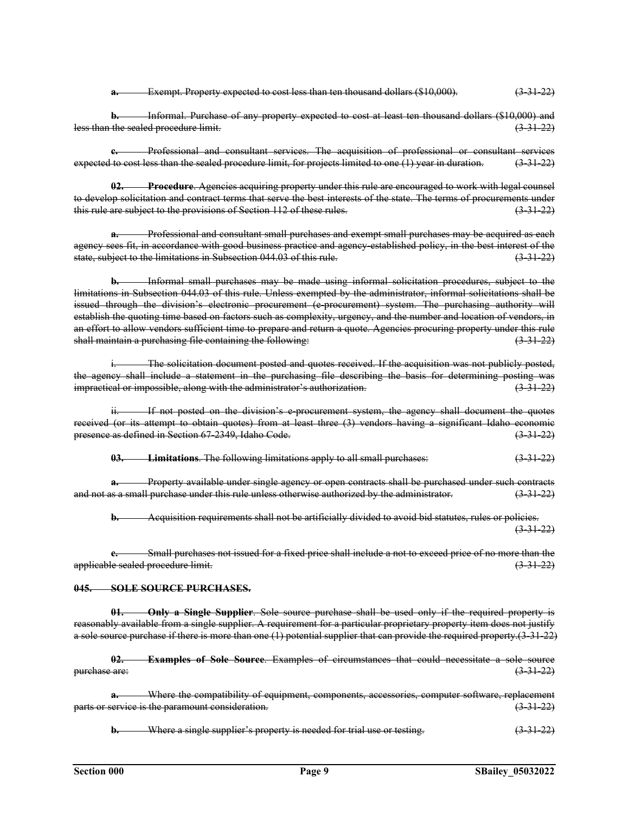**a.** Exempt. Property expected to cost less than ten thousand dollars (\$10,000). (3-31-22)

**b.** Informal. Purchase of any property expected to cost at least ten thousand dollars (\$10,000) and less than the sealed procedure limit. (3-31-22)

**c.** Professional and consultant services. The acquisition of professional or consultant services expected to cost less than the sealed procedure limit, for projects limited to one (1) year in duration. (3-31-22)

**02. Procedure**. Agencies acquiring property under this rule are encouraged to work with legal counsel to develop solicitation and contract terms that serve the best interests of the state. The terms of procurements under this rule are subject to the provisions of Section 112 of these rules.  $(3-31-22)$ 

**a.** Professional and consultant small purchases and exempt small purchases may be acquired as each agency sees fit, in accordance with good business practice and agency established policy, in the best interest of the state, subject to the limitations in Subsection 044.03 of this rule. (3-31-22)

**b.** Informal small purchases may be made using informal solicitation procedures, subject to the limitations in Subsection 044.03 of this rule. Unless exempted by the administrator, informal solicitations shall be issued through the division's electronic procurement (e-procurement) system. The purchasing authority will establish the quoting time based on factors such as complexity, urgency, and the number and location of vendors, in an effort to allow vendors sufficient time to prepare and return a quote. Agencies procuring property under this rule shall maintain a purchasing file containing the following:  $(3-31-22)$ 

i. The solicitation document posted and quotes received. If the acquisition was not publicly posted, the agency shall include a statement in the purchasing file describing the basis for determining posting was impractical or impossible, along with the administrator's authorization. (3-31-22)

If not posted on the division's e-procurement system, the agency shall document the quotes received (or its attempt to obtain quotes) from at least three (3) vendors having a significant Idaho economic<br>presence as defined in Section 67 2349, Idaho Code. presence as defined in Section 67-2349, Idaho Code.

**03. Limitations**. The following limitations apply to all small purchases: (3-31-22)

**a.** Property available under single agency or open contracts shall be purchased under such contracts and not as a small purchase under this rule unless otherwise authorized by the administrator.  $(3-31-22)$ 

**b.** Acquisition requirements shall not be artificially divided to avoid bid statutes, rules or policies.  $(3-31-22)$ 

**c.** Small purchases not issued for a fixed price shall include a not to exceed price of no more than the applicable sealed procedure limit. (3-31-22)

#### **045. SOLE SOURCE PURCHASES.**

**01. Only a Single Supplier**. Sole source purchase shall be used only if the required property is reasonably available from a single supplier. A requirement for a particular proprietary property item does not justify a sole source purchase if there is more than one (1) potential supplier that can provide the required property.(3-31-22)

**02. Examples of Sole Source**. Examples of circumstances that could necessitate a sole source purchase are: (3-31-22)

**a.** Where the compatibility of equipment, components, accessories, computer software, replacement parts or service is the paramount consideration. (3-31-22)

**b.** Where a single supplier's property is needed for trial use or testing. (3-31-22)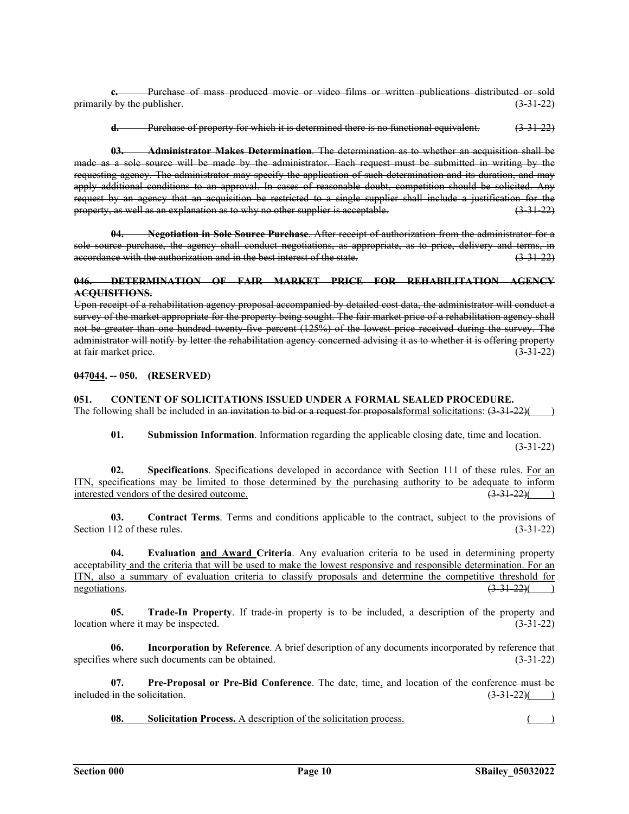**c.** Purchase of mass produced movie or video films or written publications distributed or sold  $\frac{1}{3}$  primarily by the publisher. (3-31-22)

**d.** Purchase of property for which it is determined there is no functional equivalent. (3-31-22)

**03. Administrator Makes Determination**. The determination as to whether an acquisition shall be made as a sole source will be made by the administrator. Each request must be submitted in writing by the requesting agency. The administrator may specify the application of such determination and its duration, and may apply additional conditions to an approval. In cases of reasonable doubt, competition should be solicited. Any request by an agency that an acquisition be restricted to a single supplier shall include a justification for the<br>property, as well as an explanation as to why no other supplier is acceptable. (3 31 22) property, as well as an explanation as to why no other supplier is acceptable.

**04. Negotiation in Sole Source Purchase**. After receipt of authorization from the administrator for a sole source purchase, the agency shall conduct negotiations, as appropriate, as to price, delivery and terms, in accordance with the authorization and in the best interest of the state.  $(3-3+22)$ 

### **046. DETERMINATION OF FAIR MARKET PRICE FOR REHABILITATION AGENCY ACQUISITIONS.**

Upon receipt of a rehabilitation agency proposal accompanied by detailed cost data, the administrator will conduct a survey of the market appropriate for the property being sought. The fair market price of a rehabilitation agency shall not be greater than one hundred twenty-five percent (125%) of the lowest price received during the survey. The administrator will notify by letter the rehabilitation agency concerned advising it as to whether it is offering property at fair market price. (3-31-22)

**047044. -- 050. (RESERVED)** 

# **051. CONTENT OF SOLICITATIONS ISSUED UNDER A FORMAL SEALED PROCEDURE.**

The following shall be included in an invitation to bid or a request for proposals formal solicitations:  $(3-31-22)$ 

**01. Submission Information**. Information regarding the applicable closing date, time and location.  $(3-31-22)$ 

**02. Specifications**. Specifications developed in accordance with Section 111 of these rules. For an ITN, specifications may be limited to those determined by the purchasing authority to be adequate to inform interested vendors of the desired outcome.  $(3-31-22)($ 

**03. Contract Terms**. Terms and conditions applicable to the contract, subject to the provisions of Section 112 of these rules. (3-31-22)

**04. Evaluation and Award Criteria**. Any evaluation criteria to be used in determining property acceptability and the criteria that will be used to make the lowest responsive and responsible determination. For an ITN, also a summary of evaluation criteria to classify proposals and determine the competitive threshold for negotiations.  $\left(3\frac{31-22}{3}\right)$  (and the set of the set of the set of the set of the set of the set of the set of the set of the set of the set of the set of the set of the set of the set of the set of the set of the se

**05. Trade-In Property**. If trade-in property is to be included, a description of the property and location where it may be inspected. (3-31-22)

**06. Incorporation by Reference**. A brief description of any documents incorporated by reference that specifies where such documents can be obtained. (3-31-22)

**07. Pre-Proposal or Pre-Bid Conference**. The date, time, and location of the conference must be  $\frac{1}{10}$  included in the solicitation. (3-31-22)( )

**08. Solicitation Process.** A description of the solicitation process.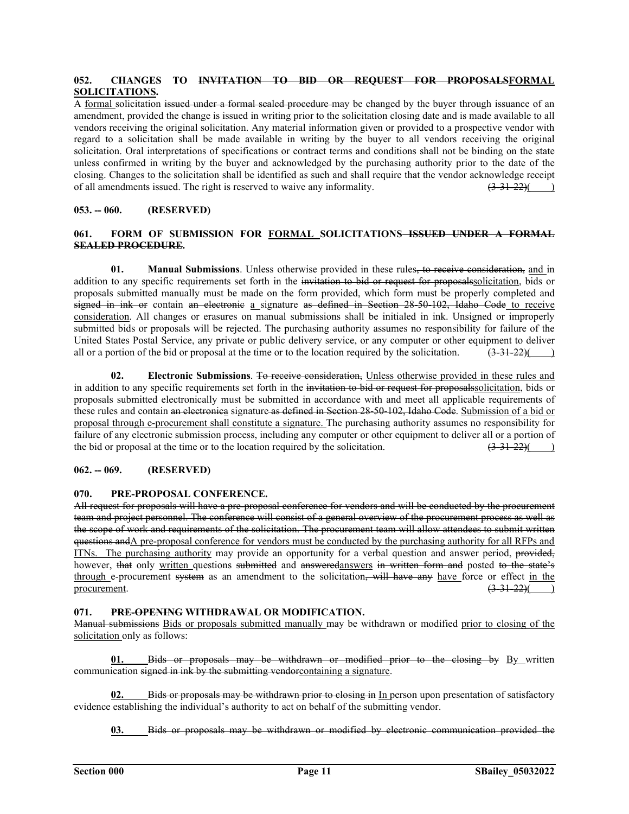# **052. CHANGES TO INVITATION TO BID OR REQUEST FOR PROPOSALSFORMAL SOLICITATIONS.**

A formal solicitation issued under a formal sealed procedure may be changed by the buyer through issuance of an amendment, provided the change is issued in writing prior to the solicitation closing date and is made available to all vendors receiving the original solicitation. Any material information given or provided to a prospective vendor with regard to a solicitation shall be made available in writing by the buyer to all vendors receiving the original solicitation. Oral interpretations of specifications or contract terms and conditions shall not be binding on the state unless confirmed in writing by the buyer and acknowledged by the purchasing authority prior to the date of the closing. Changes to the solicitation shall be identified as such and shall require that the vendor acknowledge receipt of all amendments issued. The right is reserved to waive any informality.  $(3-31-22)($ of all amendments issued. The right is reserved to waive any informality.  $(3-31-22)()$ 

# **053. -- 060. (RESERVED)**

## **061. FORM OF SUBMISSION FOR FORMAL SOLICITATIONS ISSUED UNDER A FORMAL SEALED PROCEDURE.**

**01. Manual Submissions**. Unless otherwise provided in these rules, to receive consideration, and in addition to any specific requirements set forth in the invitation to bid or request for proposals solicitation, bids or proposals submitted manually must be made on the form provided, which form must be properly completed and signed in ink or contain an electronic a signature as defined in Section 28-50-102, Idaho Code to receive consideration. All changes or erasures on manual submissions shall be initialed in ink. Unsigned or improperly submitted bids or proposals will be rejected. The purchasing authority assumes no responsibility for failure of the United States Postal Service, any private or public delivery service, or any computer or other equipment to deliver all or a portion of the bid or proposal at the time or to the location required by the solicitation.  $(3-31-22)()$ 

**02. Electronic Submissions**. To receive consideration, Unless otherwise provided in these rules and in addition to any specific requirements set forth in the invitation to bid or request for proposalssolicitation, bids or proposals submitted electronically must be submitted in accordance with and meet all applicable requirements of these rules and contain an electronica signature as defined in Section 28-50-102, Idaho Code. Submission of a bid or proposal through e-procurement shall constitute a signature. The purchasing authority assumes no responsibility for failure of any electronic submission process, including any computer or other equipment to deliver all or a portion of the bid or proposal at the time or to the location required by the solicitation.  $\left(3\frac{31\frac{22}{5}}{3!$ the bid or proposal at the time or to the location required by the solicitation.

## **062. -- 069. (RESERVED)**

#### **070. PRE-PROPOSAL CONFERENCE.**

All request for proposals will have a pre-proposal conference for vendors and will be conducted by the procurement team and project personnel. The conference will consist of a general overview of the procurement process as well as the scope of work and requirements of the solicitation. The procurement team will allow attendees to submit written questions andA pre-proposal conference for vendors must be conducted by the purchasing authority for all RFPs and ITNs. The purchasing authority may provide an opportunity for a verbal question and answer period, provided, however, that only written questions submitted and answeredanswers in written form and posted to the state's through e-procurement system as an amendment to the solicitation, will have any have force or effect in the procurement.  $\frac{(3-31-22)}{(2-31-22)}$ 

# **071. PRE-OPENING WITHDRAWAL OR MODIFICATION.**

Manual submissions Bids or proposals submitted manually may be withdrawn or modified prior to closing of the solicitation only as follows:

**Bids or proposals may be withdrawn or modified prior to the closing by** By written communication signed in ink by the submitting vendorcontaining a signature.

**02.** Bids or proposals may be withdrawn prior to closing in In person upon presentation of satisfactory evidence establishing the individual's authority to act on behalf of the submitting vendor.

**03.** Bids or proposals may be withdrawn or modified by electronic communication provided the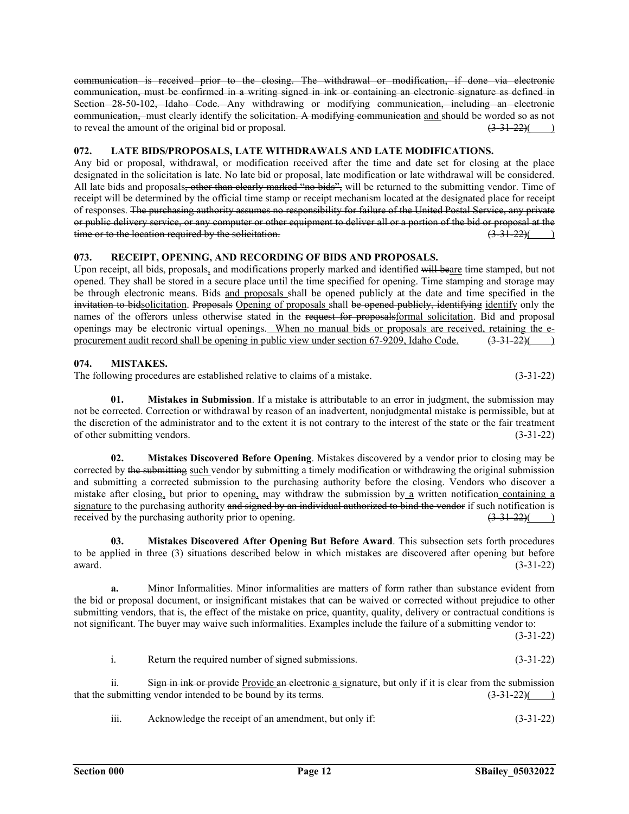communication is received prior to the closing. The withdrawal or modification, if done via electronic communication, must be confirmed in a writing signed in ink or containing an electronic signature as defined in Section 28-50-102, Idaho Code. Any withdrawing or modifying communication, including an electronic communication, must clearly identify the solicitation. A modifying communication and should be worded so as not to reveal the amount of the original bid or proposal.  $(3-31-22)($  )

# **072. LATE BIDS/PROPOSALS, LATE WITHDRAWALS AND LATE MODIFICATIONS.**

Any bid or proposal, withdrawal, or modification received after the time and date set for closing at the place designated in the solicitation is late. No late bid or proposal, late modification or late withdrawal will be considered. All late bids and proposals, other than clearly marked "no bids", will be returned to the submitting vendor. Time of receipt will be determined by the official time stamp or receipt mechanism located at the designated place for receipt of responses. The purchasing authority assumes no responsibility for failure of the United Postal Service, any private or public delivery service, or any computer or other equipment to deliver all or a portion of the bid or proposal at the time or to the location required by the solicitation.  $(3-31-22)($  )

# **073. RECEIPT, OPENING, AND RECORDING OF BIDS AND PROPOSALS.**

Upon receipt, all bids, proposals, and modifications properly marked and identified will beare time stamped, but not opened. They shall be stored in a secure place until the time specified for opening. Time stamping and storage may be through electronic means. Bids and proposals shall be opened publicly at the date and time specified in the invitation to bidsolicitation. Proposals Opening of proposals shall be opened publicly, identifying identify only the names of the offerors unless otherwise stated in the request for proposalsformal solicitation. Bid and proposal openings may be electronic virtual openings. When no manual bids or proposals are received, retaining the eprocurement audit record shall be opening in public view under section 67-9209, Idaho Code.  $(3-31-22)()$ 

# **074. MISTAKES.**

The following procedures are established relative to claims of a mistake.  $(3-31-22)$ 

**01. Mistakes in Submission**. If a mistake is attributable to an error in judgment, the submission may not be corrected. Correction or withdrawal by reason of an inadvertent, nonjudgmental mistake is permissible, but at the discretion of the administrator and to the extent it is not contrary to the interest of the state or the fair treatment of other submitting vendors. (3-31-22)

**02. Mistakes Discovered Before Opening**. Mistakes discovered by a vendor prior to closing may be corrected by the submitting such vendor by submitting a timely modification or withdrawing the original submission and submitting a corrected submission to the purchasing authority before the closing. Vendors who discover a mistake after closing, but prior to opening, may withdraw the submission by a written notification containing a signature to the purchasing authority and signed by an individual authorized to bind the vendor if such notification is received by the purchasing authority prior to opening.  $\left(3\frac{31-22}{2}\right)$  (a)

**03. Mistakes Discovered After Opening But Before Award**. This subsection sets forth procedures to be applied in three (3) situations described below in which mistakes are discovered after opening but before award.  $(3-31-22)$ 

**a.** Minor Informalities. Minor informalities are matters of form rather than substance evident from the bid or proposal document, or insignificant mistakes that can be waived or corrected without prejudice to other submitting vendors, that is, the effect of the mistake on price, quantity, quality, delivery or contractual conditions is not significant. The buyer may waive such informalities. Examples include the failure of a submitting vendor to:

 $(3-31-22)$ 

ii. Sign in ink or provide Provide an electronic a signature, but only if it is clear from the submission that the submitting vendor intended to be bound by its terms.  $\left(3-31-22\right)\left(2-31-22\right)$ 

iii. Acknowledge the receipt of an amendment, but only if: (3-31-22)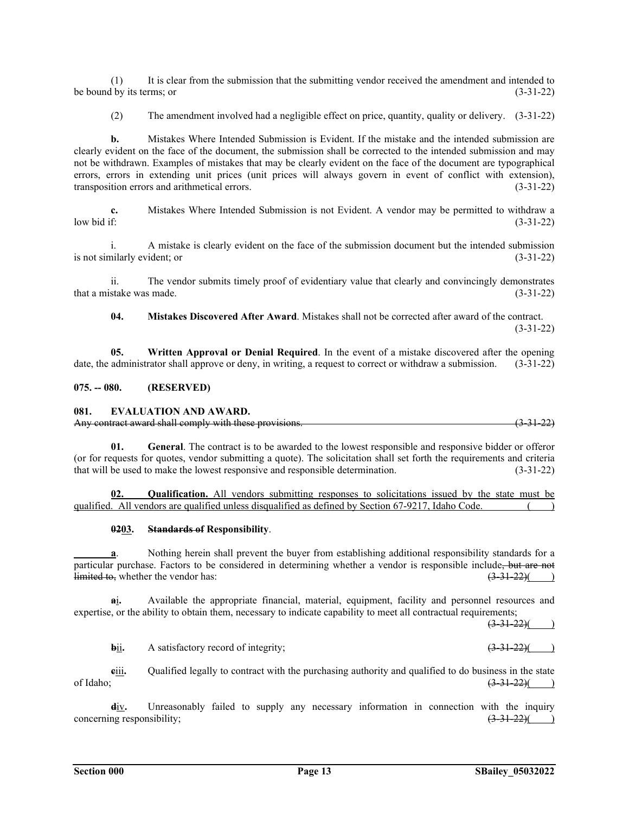(1) It is clear from the submission that the submitting vendor received the amendment and intended to be bound by its terms; or  $(3-31-22)$ 

(2) The amendment involved had a negligible effect on price, quantity, quality or delivery. (3-31-22)

**b.** Mistakes Where Intended Submission is Evident. If the mistake and the intended submission are clearly evident on the face of the document, the submission shall be corrected to the intended submission and may not be withdrawn. Examples of mistakes that may be clearly evident on the face of the document are typographical errors, errors in extending unit prices (unit prices will always govern in event of conflict with extension), transposition errors and arithmetical errors. (3-31-22)

**c.** Mistakes Where Intended Submission is not Evident. A vendor may be permitted to withdraw a low bid if: (3-31-22)

i. A mistake is clearly evident on the face of the submission document but the intended submission is not similarly evident; or (3-31-22)

ii. The vendor submits timely proof of evidentiary value that clearly and convincingly demonstrates that a mistake was made.  $(3-31-22)$ 

**04. Mistakes Discovered After Award**. Mistakes shall not be corrected after award of the contract.

 $(3-31-22)$ 

**05. Written Approval or Denial Required**. In the event of a mistake discovered after the opening date, the administrator shall approve or deny, in writing, a request to correct or withdraw a submission. (3-31-22)

### **075. -- 080. (RESERVED)**

#### **081. EVALUATION AND AWARD.**

| Any contract award shall comply with these provisions          | (2, 21, 22) |  |
|----------------------------------------------------------------|-------------|--|
| <u>This contract award shall comply with these provisions.</u> | TJ JI 441   |  |

**01. General**. The contract is to be awarded to the lowest responsible and responsive bidder or offeror (or for requests for quotes, vendor submitting a quote). The solicitation shall set forth the requirements and criteria that will be used to make the lowest responsive and responsible determination. (3-31-22)

**02. Qualification.** All vendors submitting responses to solicitations issued by the state must be qualified. All vendors are qualified unless disqualified as defined by Section 67-9217, Idaho Code. ( )

#### **0203. Standards of Responsibility**.

**a**. Nothing herein shall prevent the buyer from establishing additional responsibility standards for a particular purchase. Factors to be considered in determining whether a vendor is responsible include, but are not  $\lim_{x \to 0}$  (3.31.22)(  $\frac{1 \text{limited to}}{3.31-22}$  (3.31-22)( )

**a**i**.** Available the appropriate financial, material, equipment, facility and personnel resources and expertise, or the ability to obtain them, necessary to indicate capability to meet all contractual requirements;

 $(3-31-22)($ 

**b**ii. A satisfactory record of integrity; (3-31-22)(

**e**iii. Qualified legally to contract with the purchasing authority and qualified to do business in the state of Idaho;  $\frac{(3-31-22)()}{2}$ 

**d**iv**.** Unreasonably failed to supply any necessary information in connection with the inquiry concerning responsibility;  $(3-31-22)$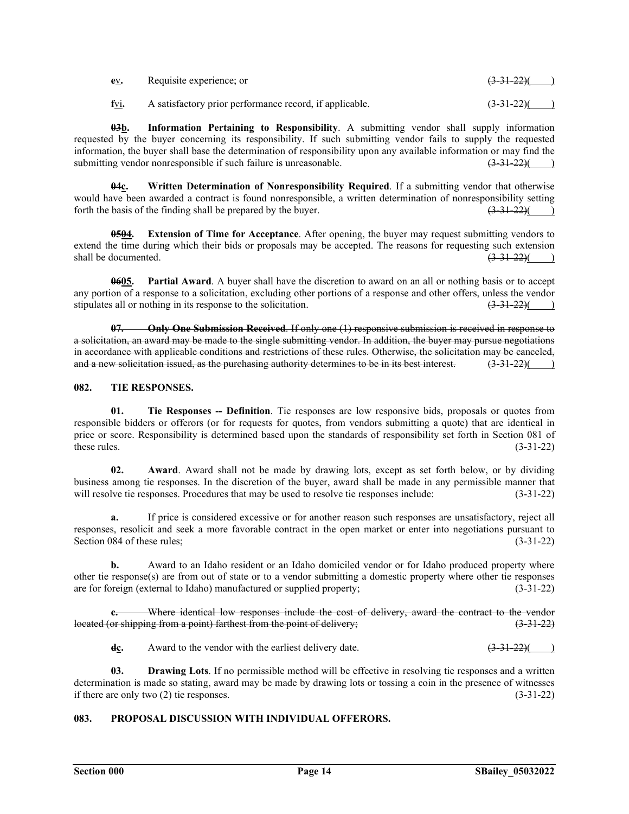| ev. | Requisite experience; or                                     | $(3-31-22)$ ( |
|-----|--------------------------------------------------------------|---------------|
|     | fvi. A satisfactory prior performance record, if applicable. | $(3-31-22)$   |

**03b. Information Pertaining to Responsibility**. A submitting vendor shall supply information requested by the buyer concerning its responsibility. If such submitting vendor fails to supply the requested information, the buyer shall base the determination of responsibility upon any available information or may find the submitting vendor nonresponsible if such failure is unreasonable.  $(3-31-22)($  )

**04c. Written Determination of Nonresponsibility Required**. If a submitting vendor that otherwise would have been awarded a contract is found nonresponsible, a written determination of nonresponsibility setting forth the basis of the finding shall be prepared by the buyer.  $\left(3\frac{31}{22}\right)$ forth the basis of the finding shall be prepared by the buyer.

**0504. Extension of Time for Acceptance**. After opening, the buyer may request submitting vendors to extend the time during which their bids or proposals may be accepted. The reasons for requesting such extension shall be documented.  $\left(3\frac{31}{22}\right)$ shall be documented.

**0605. Partial Award**. A buyer shall have the discretion to award on an all or nothing basis or to accept any portion of a response to a solicitation, excluding other portions of a response and other offers, unless the vendor stipulates all or nothing in its response to the solicitation.  $\left(3\frac{31-22}{\sqrt{2}}\right)$ 

**07. Only One Submission Received**. If only one (1) responsive submission is received in response to a solicitation, an award may be made to the single submitting vendor. In addition, the buyer may pursue negotiations in accordance with applicable conditions and restrictions of these rules. Otherwise, the solicitation may be canceled,<br>and a new solicitation issued, as the purchasing authority determines to be in its best interest. (3.31 and a new solicitation issued, as the purchasing authority determines to be in its best interest.

# **082. TIE RESPONSES.**

**01. Tie Responses -- Definition**. Tie responses are low responsive bids, proposals or quotes from responsible bidders or offerors (or for requests for quotes, from vendors submitting a quote) that are identical in price or score. Responsibility is determined based upon the standards of responsibility set forth in Section 081 of these rules.  $(3-31-22)$ 

**02. Award**. Award shall not be made by drawing lots, except as set forth below, or by dividing business among tie responses. In the discretion of the buyer, award shall be made in any permissible manner that will resolve tie responses. Procedures that may be used to resolve tie responses include: (3-31-22)

**a.** If price is considered excessive or for another reason such responses are unsatisfactory, reject all responses, resolicit and seek a more favorable contract in the open market or enter into negotiations pursuant to Section 084 of these rules; (3-31-22)

**b.** Award to an Idaho resident or an Idaho domiciled vendor or for Idaho produced property where other tie response(s) are from out of state or to a vendor submitting a domestic property where other tie responses are for foreign (external to Idaho) manufactured or supplied property; (3-31-22)

**c.** Where identical low responses include the cost of delivery, award the contract to the vendor located (or shipping from a point) farthest from the point of delivery; (3-31-22)

**dc.** Award to the vendor with the earliest delivery date.  $\left(3.31-22\right)$ 

**03. Drawing Lots**. If no permissible method will be effective in resolving tie responses and a written determination is made so stating, award may be made by drawing lots or tossing a coin in the presence of witnesses if there are only two  $(2)$  tie responses. (3-31-22)

# **083. PROPOSAL DISCUSSION WITH INDIVIDUAL OFFERORS.**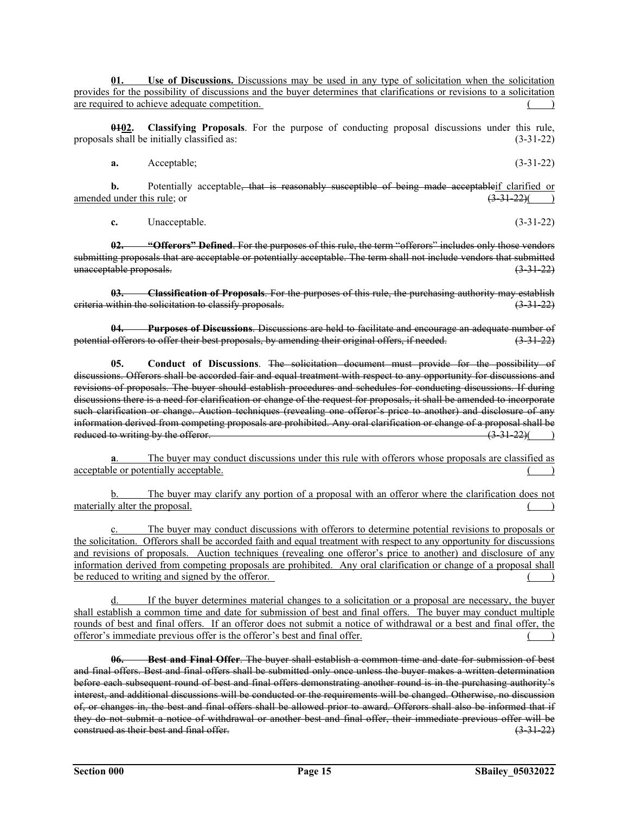**01. Use of Discussions.** Discussions may be used in any type of solicitation when the solicitation provides for the possibility of discussions and the buyer determines that clarifications or revisions to a solicitation are required to achieve adequate competition. () ()

**0102. Classifying Proposals**. For the purpose of conducting proposal discussions under this rule, proposals shall be initially classified as: (3-31-22)

**a.** Acceptable; (3-31-22)

**b.** Potentially acceptable, that is reasonably susceptible of being made acceptable if clarified or this rule: or  $\left(3-31-22\right)$  () amended under this rule; or

**c.** Unacceptable. (3-31-22)

**02. "Offerors" Defined**. For the purposes of this rule, the term "offerors" includes only those vendors submitting proposals that are acceptable or potentially acceptable. The term shall not include vendors that submitted unacceptable proposals. (3-31-22)

**03. Classification of Proposals**. For the purposes of this rule, the purchasing authority may establish criteria within the solicitation to classify proposals. (3-31-22)

**04. Purposes of Discussions**. Discussions are held to facilitate and encourage an adequate number of potential offerors to offer their best proposals, by amending their original offers, if needed. (3-31-22)

**05. Conduct of Discussions**. The solicitation document must provide for the possibility of discussions. Offerors shall be accorded fair and equal treatment with respect to any opportunity for discussions and revisions of proposals. The buyer should establish procedures and schedules for conducting discussions. If during discussions there is a need for clarification or change of the request for proposals, it shall be amended to incorporate such clarification or change. Auction techniques (revealing one offeror's price to another) and disclosure of any information derived from competing proposals are prohibited. Any oral clarification or change of a proposal shall be<br>reduced to writing by the offeror. (3.31.22) reduced to writing by the offeror.

The buyer may conduct discussions under this rule with offerors whose proposals are classified as acceptable or potentially acceptable.

The buyer may clarify any portion of a proposal with an offeror where the clarification does not materially alter the proposal.

c. The buyer may conduct discussions with offerors to determine potential revisions to proposals or the solicitation. Offerors shall be accorded faith and equal treatment with respect to any opportunity for discussions and revisions of proposals. Auction techniques (revealing one offeror's price to another) and disclosure of any information derived from competing proposals are prohibited. Any oral clarification or change of a proposal shall be reduced to writing and signed by the offeror.

If the buyer determines material changes to a solicitation or a proposal are necessary, the buyer shall establish a common time and date for submission of best and final offers. The buyer may conduct multiple rounds of best and final offers. If an offeror does not submit a notice of withdrawal or a best and final offer, the offeror's immediate previous offer is the offeror's best and final offer. ( )

**06. Best and Final Offer**. The buyer shall establish a common time and date for submission of best and final offers. Best and final offers shall be submitted only once unless the buyer makes a written determination before each subsequent round of best and final offers demonstrating another round is in the purchasing authority's interest, and additional discussions will be conducted or the requirements will be changed. Otherwise, no discussion of, or changes in, the best and final offers shall be allowed prior to award. Offerors shall also be informed that if they do not submit a notice of withdrawal or another best and final offer, their immediate previous offer will be construed as their best and final offer. (3-31-22)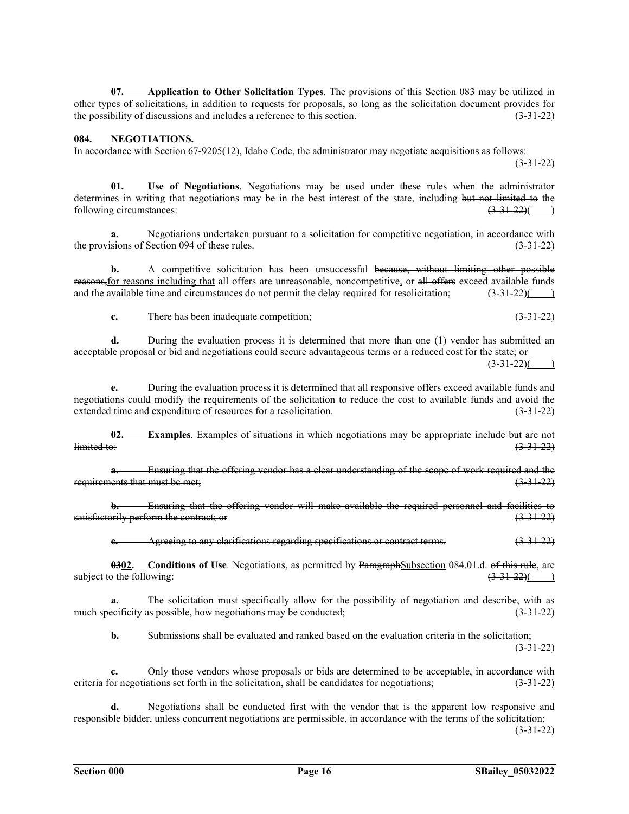**07. Application to Other Solicitation Types**. The provisions of this Section 083 may be utilized in other types of solicitations, in addition to requests for proposals, so long as the solicitation document provides for the possibility of discussions and includes a reference to this section.

### **084. NEGOTIATIONS.**

In accordance with Section 67-9205(12), Idaho Code, the administrator may negotiate acquisitions as follows:  $(3-31-22)$ 

**01. Use of Negotiations**. Negotiations may be used under these rules when the administrator determines in writing that negotiations may be in the best interest of the state, including but not limited to the following circumstances:  $\frac{(3-31-22)}{(2)}$ following circumstances:

**a.** Negotiations undertaken pursuant to a solicitation for competitive negotiation, in accordance with the provisions of Section 094 of these rules. (3-31-22)

**b.** A competitive solicitation has been unsuccessful because, without limiting other possible reasons, for reasons including that all offers are unreasonable, noncompetitive, or all offers exceed available funds and the available time and circumstances do not permit the delay required for resolicitation;  $\left(3\frac{31-22}{\ }right)$ 

**c.** There has been inadequate competition; (3-31-22)

**d.** During the evaluation process it is determined that more than one (1) vendor has submitted an acceptable proposal or bid and negotiations could secure advantageous terms or a reduced cost for the state; or  $(3-31-22)($ 

**e.** During the evaluation process it is determined that all responsive offers exceed available funds and negotiations could modify the requirements of the solicitation to reduce the cost to available funds and avoid the extended time and expenditure of resources for a resolicitation. (3-31-22)

**02. Examples**. Examples of situations in which negotiations may be appropriate include but are not  $l$ imited to:  $(3-31-22)$ 

**a.** Ensuring that the offering vendor has a clear understanding of the scope of work required and the requirements that must be met;  $(3-31-22)$ 

**b.** Ensuring that the offering vendor will make available the required personnel and facilities to satisfactorily perform the contract; or (3-31-22)

**c.** Agreeing to any clarifications regarding specifications or contract terms. (3-31-22)

**0302.** Conditions of Use. Negotiations, as permitted by ParagraphSubsection 084.01.d. of this rule, are of the following: (3.31.22)( subject to the following:

**a.** The solicitation must specifically allow for the possibility of negotiation and describe, with as much specificity as possible, how negotiations may be conducted;  $(3-31-22)$ 

**b.** Submissions shall be evaluated and ranked based on the evaluation criteria in the solicitation;  $(3-31-22)$ 

**c.** Only those vendors whose proposals or bids are determined to be acceptable, in accordance with criteria for negotiations set forth in the solicitation, shall be candidates for negotiations; (3-31-22)

**d.** Negotiations shall be conducted first with the vendor that is the apparent low responsive and responsible bidder, unless concurrent negotiations are permissible, in accordance with the terms of the solicitation;

 $(3-31-22)$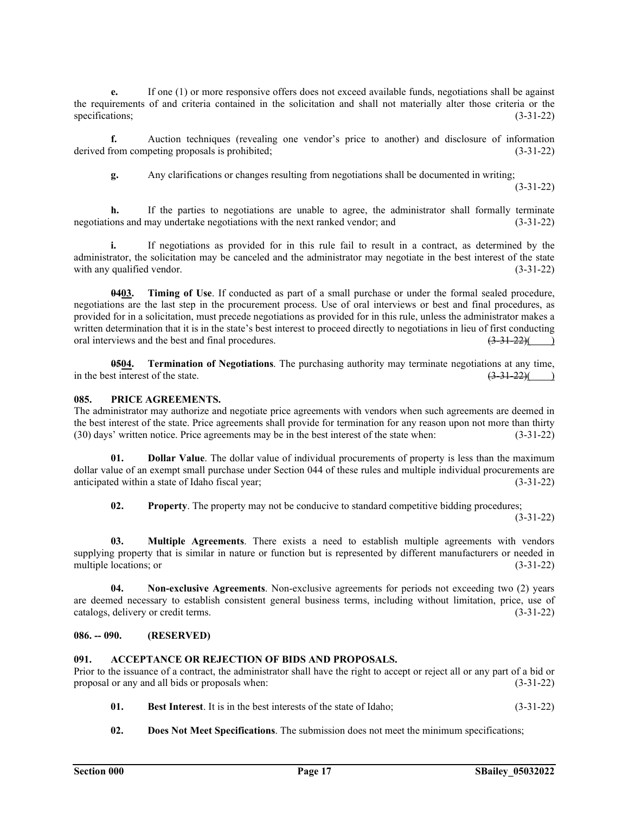**e.** If one (1) or more responsive offers does not exceed available funds, negotiations shall be against the requirements of and criteria contained in the solicitation and shall not materially alter those criteria or the specifications; (3-31-22)

**f.** Auction techniques (revealing one vendor's price to another) and disclosure of information derived from competing proposals is prohibited; (3-31-22)

**g.** Any clarifications or changes resulting from negotiations shall be documented in writing;

 $(3-31-22)$ 

**h.** If the parties to negotiations are unable to agree, the administrator shall formally terminate negotiations and may undertake negotiations with the next ranked vendor; and (3-31-22)

**i.** If negotiations as provided for in this rule fail to result in a contract, as determined by the administrator, the solicitation may be canceled and the administrator may negotiate in the best interest of the state with any qualified vendor. (3-31-22)

**0403. Timing of Use**. If conducted as part of a small purchase or under the formal sealed procedure, negotiations are the last step in the procurement process. Use of oral interviews or best and final procedures, as provided for in a solicitation, must precede negotiations as provided for in this rule, unless the administrator makes a written determination that it is in the state's best interest to proceed directly to negotiations in lieu of first conducting oral interviews and the best and final procedures.  $(3-31-22)($ 

**0504. Termination of Negotiations**. The purchasing authority may terminate negotiations at any time, in the best interest of the state.  $\left(3\frac{31-22}{2}\right)$  ()

### **085. PRICE AGREEMENTS.**

The administrator may authorize and negotiate price agreements with vendors when such agreements are deemed in the best interest of the state. Price agreements shall provide for termination for any reason upon not more than thirty (30) days' written notice. Price agreements may be in the best interest of the state when: (3-31-22) (30) days' written notice. Price agreements may be in the best interest of the state when:

**01. Dollar Value**. The dollar value of individual procurements of property is less than the maximum dollar value of an exempt small purchase under Section 044 of these rules and multiple individual procurements are anticipated within a state of Idaho fiscal year; (3-31-22)

**02. Property**. The property may not be conducive to standard competitive bidding procedures;  $(3-31-22)$ 

**03. Multiple Agreements**. There exists a need to establish multiple agreements with vendors supplying property that is similar in nature or function but is represented by different manufacturers or needed in multiple locations; or  $(3-31-22)$ 

**04. Non-exclusive Agreements**. Non-exclusive agreements for periods not exceeding two (2) years are deemed necessary to establish consistent general business terms, including without limitation, price, use of catalogs, delivery or credit terms. (3-31-22) catalogs, delivery or credit terms.

## **086. -- 090. (RESERVED)**

# **091. ACCEPTANCE OR REJECTION OF BIDS AND PROPOSALS.**

Prior to the issuance of a contract, the administrator shall have the right to accept or reject all or any part of a bid or proposal or any and all bids or proposals when: (3-31-22)

- **01. Best Interest**. It is in the best interests of the state of Idaho; (3-31-22)
- **02. Does Not Meet Specifications**. The submission does not meet the minimum specifications;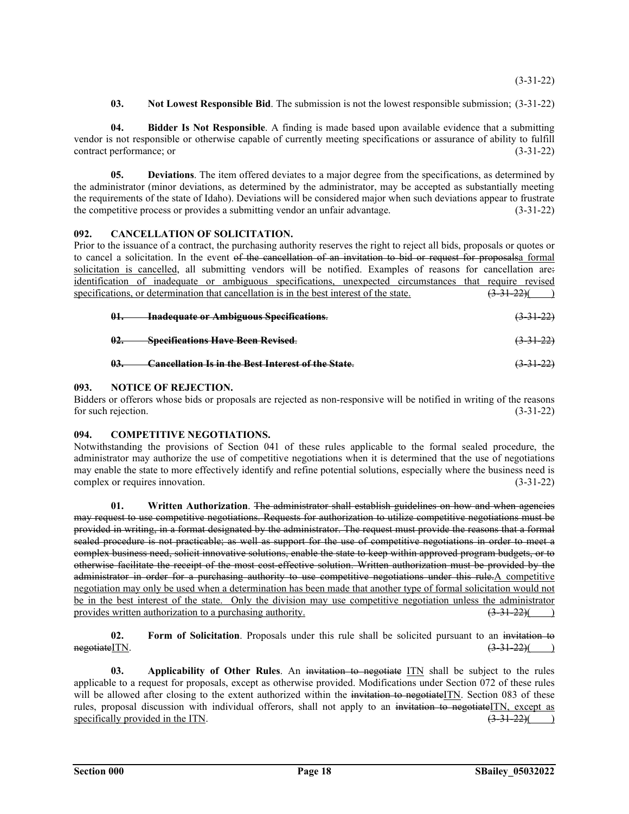$(3-31-22)$ 

**03. Not Lowest Responsible Bid**. The submission is not the lowest responsible submission; (3-31-22)

**04. Bidder Is Not Responsible**. A finding is made based upon available evidence that a submitting vendor is not responsible or otherwise capable of currently meeting specifications or assurance of ability to fulfill contract performance; or (3-31-22)

**05. Deviations**. The item offered deviates to a major degree from the specifications, as determined by the administrator (minor deviations, as determined by the administrator, may be accepted as substantially meeting the requirements of the state of Idaho). Deviations will be considered major when such deviations appear to frustrate the competitive process or provides a submitting vendor an unfair advantage. (3-31-22)

# **092. CANCELLATION OF SOLICITATION.**

Prior to the issuance of a contract, the purchasing authority reserves the right to reject all bids, proposals or quotes or to cancel a solicitation. In the event of the cancellation of an invitation to bid or request for proposalsa formal solicitation is cancelled, all submitting vendors will be notified. Examples of reasons for cancellation are: identification of inadequate or ambiguous specifications, unexpected circumstances that require revised specifications, or determination that cancellation is in the best interest of the state.  $(3-31-22)($ 

| 01. | <b>Inadequate or Ambiguous Specifications.</b>            | $(3-31-22)$ |
|-----|-----------------------------------------------------------|-------------|
| 02. | <b>Specifications Have Been Revised.</b>                  | $(3-31-22)$ |
| 03. | <b>Cancellation Is in the Best Interest of the State.</b> | $(3-31-22)$ |

# **093. NOTICE OF REJECTION.**

Bidders or offerors whose bids or proposals are rejected as non-responsive will be notified in writing of the reasons for such rejection. (3-31-22)

# **094. COMPETITIVE NEGOTIATIONS.**

Notwithstanding the provisions of Section 041 of these rules applicable to the formal sealed procedure, the administrator may authorize the use of competitive negotiations when it is determined that the use of negotiations may enable the state to more effectively identify and refine potential solutions, especially where the business need is complex or requires innovation. (3-31-22)

**01. Written Authorization**. The administrator shall establish guidelines on how and when agencies may request to use competitive negotiations. Requests for authorization to utilize competitive negotiations must be provided in writing, in a format designated by the administrator. The request must provide the reasons that a formal sealed procedure is not practicable; as well as support for the use of competitive negotiations in order to meet a complex business need, solicit innovative solutions, enable the state to keep within approved program budgets, or to otherwise facilitate the receipt of the most cost-effective solution. Written authorization must be provided by the administrator in order for a purchasing authority to use competitive negotiations under this rule.A competitive negotiation may only be used when a determination has been made that another type of formal solicitation would not be in the best interest of the state. Only the division may use competitive negotiation unless the administrator provides written authorization to a purchasing authority.  $(3\frac{31}{22})($ provides written authorization to a purchasing authority.

**02. Form of Solicitation**. Proposals under this rule shall be solicited pursuant to an invitation to  $(3.31-22)($  $\frac{1}{(3-31-22)(})$ 

**03. Applicability of Other Rules**. An invitation to negotiate ITN shall be subject to the rules applicable to a request for proposals, except as otherwise provided. Modifications under Section 072 of these rules will be allowed after closing to the extent authorized within the invitation to negotiateITN. Section 083 of these rules, proposal discussion with individual offerors, shall not apply to an invitation to negotiateITN, except as specifically provided in the ITN.  $\frac{(3-31-22)}{(2-31-22)}$ specifically provided in the ITN.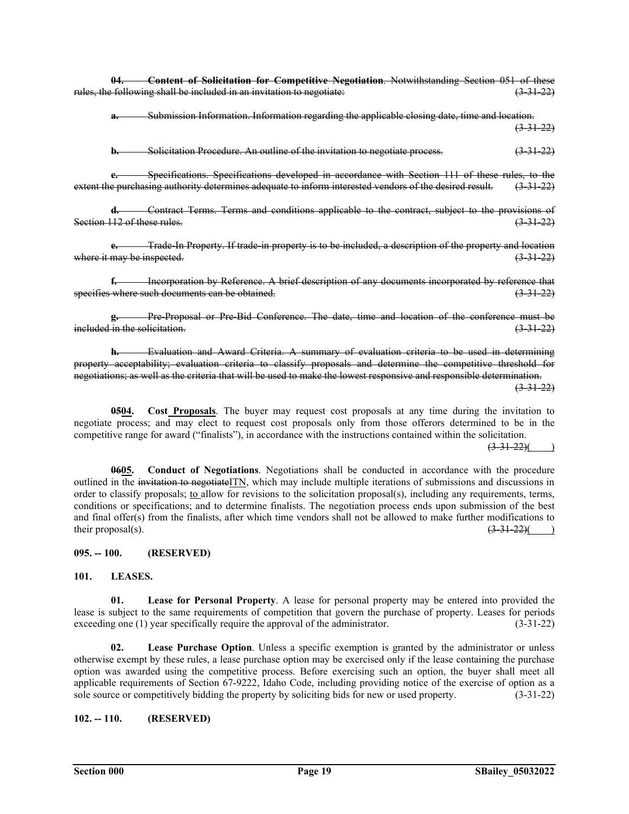**04. Content of Solicitation for Competitive Negotiation**. Notwithstanding Section 051 of these rules, the following shall be included in an invitation to negotiate:

**a.** Submission Information. Information regarding the applicable closing date, time and location.  $\left(3\text{-}31\text{-}22\right)$ 

**b.** Solicitation Procedure. An outline of the invitation to negotiate process. (3-31-22)

**c.** Specifications. Specifications developed in accordance with Section 111 of these rules, to the extent the purchasing authority determines adequate to inform interested vendors of the desired result. (3-31-22)

**d.** Contract Terms. Terms and conditions applicable to the contract, subject to the provisions of Section 112 of these rules.

**e.** Trade-In Property. If trade-in property is to be included, a description of the property and location where it may be inspected.  $(3-31-22)$ 

**f.** Incorporation by Reference. A brief description of any documents incorporated by reference that specifies where such documents can be obtained. (3.31-22)

**g.** Pre-Proposal or Pre-Bid Conference. The date, time and location of the conference must be  $i$  included in the solicitation.  $(3-3+22)$ 

**h.** Evaluation and Award Criteria. A summary of evaluation criteria to be used in determining property acceptability; evaluation criteria to classify proposals and determine the competitive threshold for negotiations; as well as the criteria that will be used to make the lowest responsive and responsible determination.  $(3-31-22)$ 

**0504.** Cost **Proposals**. The buyer may request cost proposals at any time during the invitation to negotiate process; and may elect to request cost proposals only from those offerors determined to be in the competitive range for award ("finalists"), in accordance with the instructions contained within the solicitation.

 $(3-31-22)()$ 

**0605. Conduct of Negotiations**. Negotiations shall be conducted in accordance with the procedure outlined in the invitation to negotiateITN, which may include multiple iterations of submissions and discussions in order to classify proposals; to allow for revisions to the solicitation proposal(s), including any requirements, terms, conditions or specifications; and to determine finalists. The negotiation process ends upon submission of the best and final offer(s) from the finalists, after which time vendors shall not be allowed to make further modifications to their proposal(s).  $\left(3.31-22\right)$  (example 2) and  $\left(3.31-22\right)$  (example 2) and  $\left(3.31-22\right)$  (example 2) and  $\left(3.31-22\right)$  (example 2) and  $\left(3.31-22\right)$  (example 2) and  $\left(3.31-22\right)$  (example 2) and  $\left(3.31-2$ 

### **095. -- 100. (RESERVED)**

### **101. LEASES.**

**01. Lease for Personal Property**. A lease for personal property may be entered into provided the lease is subject to the same requirements of competition that govern the purchase of property. Leases for periods exceeding one (1) year specifically require the approval of the administrator. (3-31-22)

**02. Lease Purchase Option**. Unless a specific exemption is granted by the administrator or unless otherwise exempt by these rules, a lease purchase option may be exercised only if the lease containing the purchase option was awarded using the competitive process. Before exercising such an option, the buyer shall meet all applicable requirements of Section 67-9222, Idaho Code, including providing notice of the exercise of option as a sole source or competitively bidding the property by soliciting bids for new or used property. (3-31-22)

# **102. -- 110. (RESERVED)**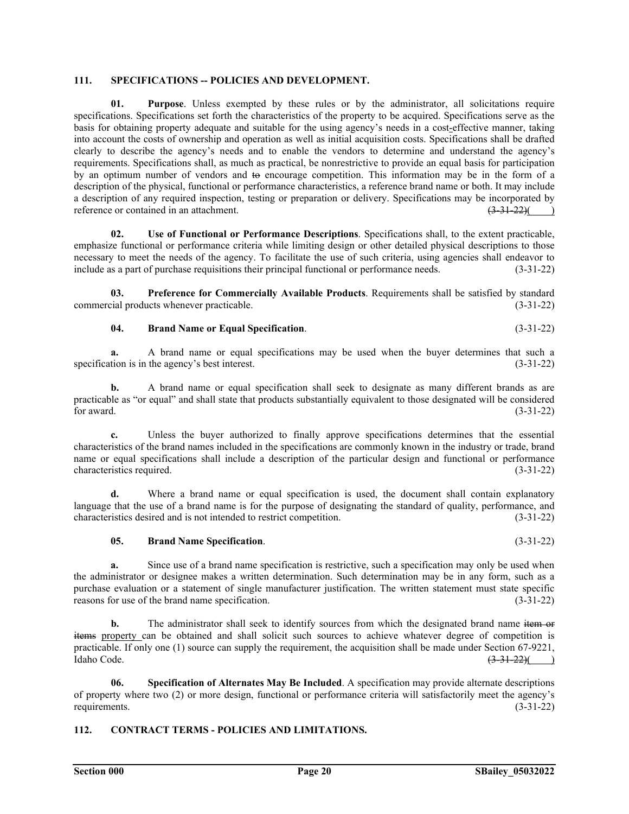# **111. SPECIFICATIONS -- POLICIES AND DEVELOPMENT.**

**01. Purpose**. Unless exempted by these rules or by the administrator, all solicitations require specifications. Specifications set forth the characteristics of the property to be acquired. Specifications serve as the basis for obtaining property adequate and suitable for the using agency's needs in a cost-effective manner, taking into account the costs of ownership and operation as well as initial acquisition costs. Specifications shall be drafted clearly to describe the agency's needs and to enable the vendors to determine and understand the agency's requirements. Specifications shall, as much as practical, be nonrestrictive to provide an equal basis for participation by an optimum number of vendors and to encourage competition. This information may be in the form of a description of the physical, functional or performance characteristics, a reference brand name or both. It may include a description of any required inspection, testing or preparation or delivery. Specifications may be incorporated by reference or contained in an attachment.  $\overline{(3-31-22)}$  (

**02. Use of Functional or Performance Descriptions**. Specifications shall, to the extent practicable, emphasize functional or performance criteria while limiting design or other detailed physical descriptions to those necessary to meet the needs of the agency. To facilitate the use of such criteria, using agencies shall endeavor to include as a part of purchase requisitions their principal functional or performance needs. (3-31-22)

**03. Preference for Commercially Available Products**. Requirements shall be satisfied by standard commercial products whenever practicable. (3-31-22)

# **04. Brand Name or Equal Specification**. (3-31-22)

**a.** A brand name or equal specifications may be used when the buyer determines that such a specification is in the agency's best interest. (3-31-22)

**b.** A brand name or equal specification shall seek to designate as many different brands as are practicable as "or equal" and shall state that products substantially equivalent to those designated will be considered for award.  $(3-31-22)$ 

**c.** Unless the buyer authorized to finally approve specifications determines that the essential characteristics of the brand names included in the specifications are commonly known in the industry or trade, brand name or equal specifications shall include a description of the particular design and functional or performance characteristics required. (3-31-22)

**d.** Where a brand name or equal specification is used, the document shall contain explanatory language that the use of a brand name is for the purpose of designating the standard of quality, performance, and characteristics desired and is not intended to restrict competition. (3-31-22)

# **05. Brand Name Specification**. (3-31-22)

**a.** Since use of a brand name specification is restrictive, such a specification may only be used when the administrator or designee makes a written determination. Such determination may be in any form, such as a purchase evaluation or a statement of single manufacturer justification. The written statement must state specific reasons for use of the brand name specification. (3-31-22)

**b.** The administrator shall seek to identify sources from which the designated brand name item or items property can be obtained and shall solicit such sources to achieve whatever degree of competition is practicable. If only one (1) source can supply the requirement, the acquisition shall be made under Section 67-9221, Idaho Code.  $\frac{(3-31-22)}{(3-31-22)}$ 

**06. Specification of Alternates May Be Included**. A specification may provide alternate descriptions of property where two (2) or more design, functional or performance criteria will satisfactorily meet the agency's requirements. (3-31-22)

# **112. CONTRACT TERMS - POLICIES AND LIMITATIONS.**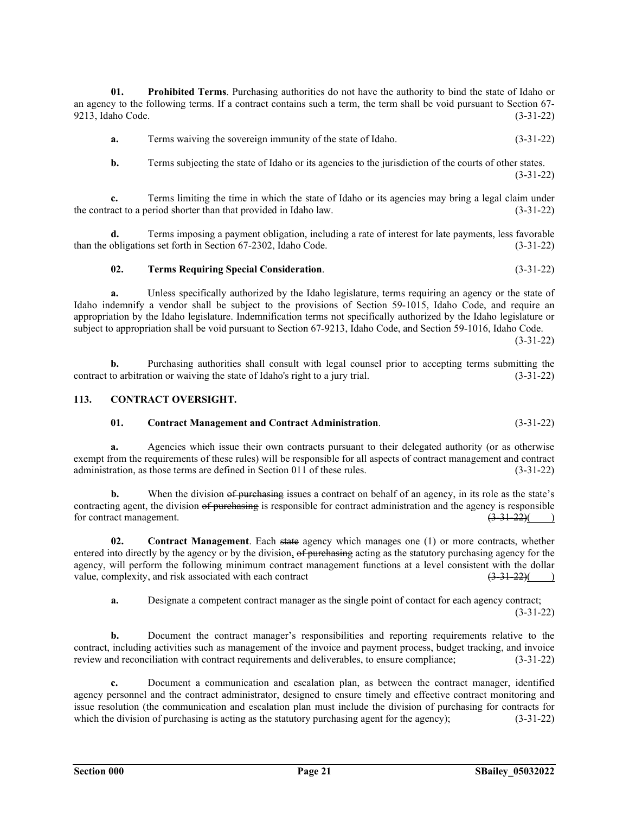**01. Prohibited Terms**. Purchasing authorities do not have the authority to bind the state of Idaho or an agency to the following terms. If a contract contains such a term, the term shall be void pursuant to Section 67- 9213, Idaho Code. (3-31-22)

**a.** Terms waiving the sovereign immunity of the state of Idaho. (3-31-22)

**b.** Terms subjecting the state of Idaho or its agencies to the jurisdiction of the courts of other states.  $(3-31-22)$ 

**c.** Terms limiting the time in which the state of Idaho or its agencies may bring a legal claim under the contract to a period shorter than that provided in Idaho law. (3-31-22)

**d.** Terms imposing a payment obligation, including a rate of interest for late payments, less favorable than the obligations set forth in Section 67-2302, Idaho Code. (3-31-22)

### **02. Terms Requiring Special Consideration**. (3-31-22)

**a.** Unless specifically authorized by the Idaho legislature, terms requiring an agency or the state of Idaho indemnify a vendor shall be subject to the provisions of Section 59-1015, Idaho Code, and require an appropriation by the Idaho legislature. Indemnification terms not specifically authorized by the Idaho legislature or subject to appropriation shall be void pursuant to Section 67-9213, Idaho Code, and Section 59-1016, Idaho Code.

 $(3-31-22)$ 

**b.** Purchasing authorities shall consult with legal counsel prior to accepting terms submitting the contract to arbitration or waiving the state of Idaho's right to a jury trial. (3-31-22)

### **113. CONTRACT OVERSIGHT.**

# **01. Contract Management and Contract Administration**. (3-31-22)

**a.** Agencies which issue their own contracts pursuant to their delegated authority (or as otherwise exempt from the requirements of these rules) will be responsible for all aspects of contract management and contract administration, as those terms are defined in Section 011 of these rules. (3-31-22)

**b.** When the division of purchasing issues a contract on behalf of an agency, in its role as the state's contracting agent, the division of purchasing is responsible for contract administration and the agency is responsible for contract management.  $\left(3\frac{31-22}{2}\right)$  (a)

**02. Contract Management**. Each state agency which manages one (1) or more contracts, whether entered into directly by the agency or by the division, of purchasing acting as the statutory purchasing agency for the agency, will perform the following minimum contract management functions at a level consistent with the dollar value, complexity, and risk associated with each contract  $\left(3\frac{31}{22}\right)$ value, complexity, and risk associated with each contract  $(3-31-22)()$ 

**a.** Designate a competent contract manager as the single point of contact for each agency contract;  $(3-31-22)$ 

**b.** Document the contract manager's responsibilities and reporting requirements relative to the contract, including activities such as management of the invoice and payment process, budget tracking, and invoice review and reconciliation with contract requirements and deliverables, to ensure compliance; (3-31-22)

**c.** Document a communication and escalation plan, as between the contract manager, identified agency personnel and the contract administrator, designed to ensure timely and effective contract monitoring and issue resolution (the communication and escalation plan must include the division of purchasing for contracts for which the division of purchasing is acting as the statutory purchasing agent for the agency); (3-31-22)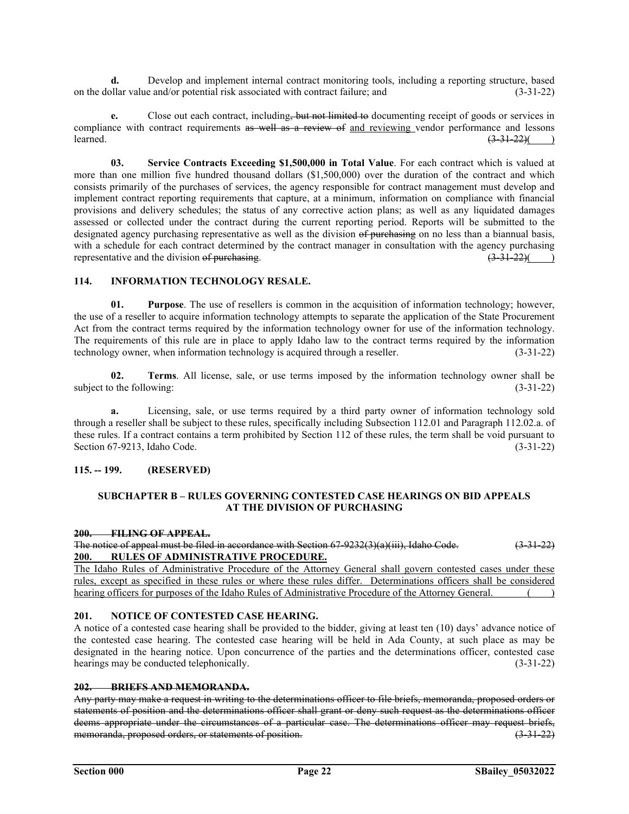**d.** Develop and implement internal contract monitoring tools, including a reporting structure, based on the dollar value and/or potential risk associated with contract failure; and (3-31-22)

**e.** Close out each contract, including, but not limited to documenting receipt of goods or services in compliance with contract requirements as well as a review of and reviewing vendor performance and lessons learned.  $\sqrt{3-31-22}$  (3.31-22)( )

**03. Service Contracts Exceeding \$1,500,000 in Total Value**. For each contract which is valued at more than one million five hundred thousand dollars (\$1,500,000) over the duration of the contract and which consists primarily of the purchases of services, the agency responsible for contract management must develop and implement contract reporting requirements that capture, at a minimum, information on compliance with financial provisions and delivery schedules; the status of any corrective action plans; as well as any liquidated damages assessed or collected under the contract during the current reporting period. Reports will be submitted to the designated agency purchasing representative as well as the division of purchasing on no less than a biannual basis, with a schedule for each contract determined by the contract manager in consultation with the agency purchasing representative and the division of purchasing.  $(3-31-22)()$ 

# **114. INFORMATION TECHNOLOGY RESALE.**

**01. Purpose**. The use of resellers is common in the acquisition of information technology; however, the use of a reseller to acquire information technology attempts to separate the application of the State Procurement Act from the contract terms required by the information technology owner for use of the information technology. The requirements of this rule are in place to apply Idaho law to the contract terms required by the information technology owner, when information technology is acquired through a reseller. (3-31-22)

**02. Terms**. All license, sale, or use terms imposed by the information technology owner shall be subject to the following: (3-31-22)

**a.** Licensing, sale, or use terms required by a third party owner of information technology sold through a reseller shall be subject to these rules, specifically including Subsection 112.01 and Paragraph 112.02.a. of these rules. If a contract contains a term prohibited by Section 112 of these rules, the term shall be void pursuant to Section 67-9213, Idaho Code. (3-31-22)

# **115. -- 199. (RESERVED)**

## **SUBCHAPTER B – RULES GOVERNING CONTESTED CASE HEARINGS ON BID APPEALS AT THE DIVISION OF PURCHASING**

# **200. FILING OF APPEAL.**

The notice of appeal must be filed in accordance with Section  $67-9232(3)(a)(iii)$ , Idaho Code.  $(3-31-22)$ **200. RULES OF ADMINISTRATIVE PROCEDURE.**

The Idaho Rules of Administrative Procedure of the Attorney General shall govern contested cases under these rules, except as specified in these rules or where these rules differ. Determinations officers shall be considered hearing officers for purposes of the Idaho Rules of Administrative Procedure of the Attorney General. ()

# **201. NOTICE OF CONTESTED CASE HEARING.**

A notice of a contested case hearing shall be provided to the bidder, giving at least ten (10) days' advance notice of the contested case hearing. The contested case hearing will be held in Ada County, at such place as may be designated in the hearing notice. Upon concurrence of the parties and the determinations officer, contested case hearings may be conducted telephonically. (3-31-22)

# **202. BRIEFS AND MEMORANDA.**

Any party may make a request in writing to the determinations officer to file briefs, memoranda, proposed orders or statements of position and the determinations officer shall grant or deny such request as the determinations officer deems appropriate under the circumstances of a particular case. The determinations officer may request briefs, memoranda, proposed orders, or statements of position.